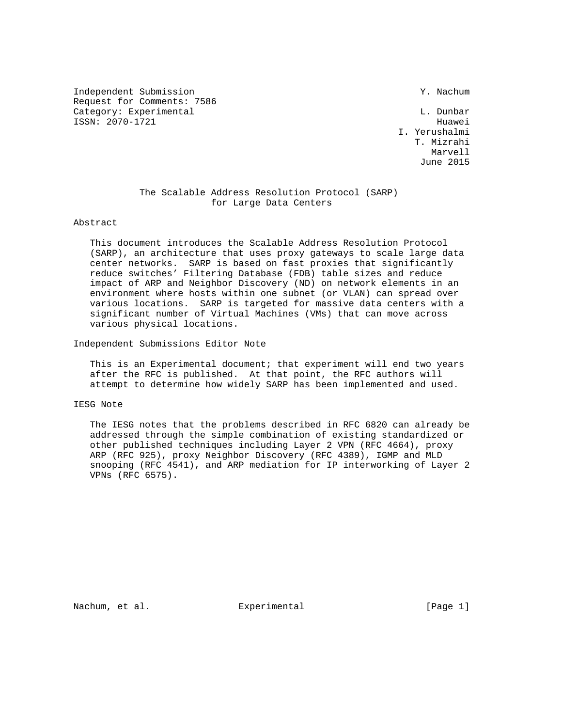Independent Submission Y. Nachum Request for Comments: 7586 Category: Experimental and L. Dunbar ISSN: 2070-1721 Huawei

 I. Yerushalmi T. Mizrahi Marvell and the Marvell of the Marvell and the Marvell of the Marvell of the Marvell of the Marvell of the Marvell of the Marvell of the Marvell of the Marvell of the Marvell of the Marvell of the Marvell of the Marvell of June 2015

# The Scalable Address Resolution Protocol (SARP) for Large Data Centers

#### Abstract

 This document introduces the Scalable Address Resolution Protocol (SARP), an architecture that uses proxy gateways to scale large data center networks. SARP is based on fast proxies that significantly reduce switches' Filtering Database (FDB) table sizes and reduce impact of ARP and Neighbor Discovery (ND) on network elements in an environment where hosts within one subnet (or VLAN) can spread over various locations. SARP is targeted for massive data centers with a significant number of Virtual Machines (VMs) that can move across various physical locations.

Independent Submissions Editor Note

 This is an Experimental document; that experiment will end two years after the RFC is published. At that point, the RFC authors will attempt to determine how widely SARP has been implemented and used.

## IESG Note

 The IESG notes that the problems described in RFC 6820 can already be addressed through the simple combination of existing standardized or other published techniques including Layer 2 VPN (RFC 4664), proxy ARP (RFC 925), proxy Neighbor Discovery (RFC 4389), IGMP and MLD snooping (RFC 4541), and ARP mediation for IP interworking of Layer 2 VPNs (RFC 6575).

Nachum, et al. experimental experimental [Page 1]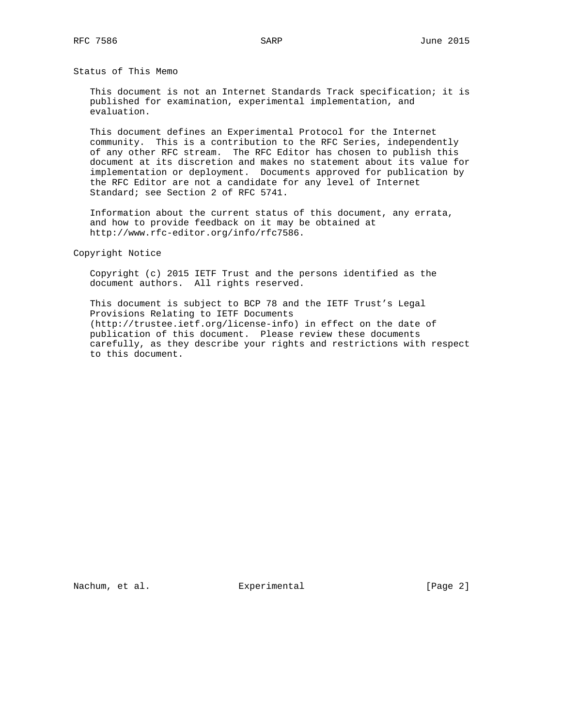Status of This Memo

 This document is not an Internet Standards Track specification; it is published for examination, experimental implementation, and evaluation.

 This document defines an Experimental Protocol for the Internet community. This is a contribution to the RFC Series, independently of any other RFC stream. The RFC Editor has chosen to publish this document at its discretion and makes no statement about its value for implementation or deployment. Documents approved for publication by the RFC Editor are not a candidate for any level of Internet Standard; see Section 2 of RFC 5741.

 Information about the current status of this document, any errata, and how to provide feedback on it may be obtained at http://www.rfc-editor.org/info/rfc7586.

Copyright Notice

 Copyright (c) 2015 IETF Trust and the persons identified as the document authors. All rights reserved.

 This document is subject to BCP 78 and the IETF Trust's Legal Provisions Relating to IETF Documents (http://trustee.ietf.org/license-info) in effect on the date of publication of this document. Please review these documents carefully, as they describe your rights and restrictions with respect to this document.

Nachum, et al. Experimental [Page 2]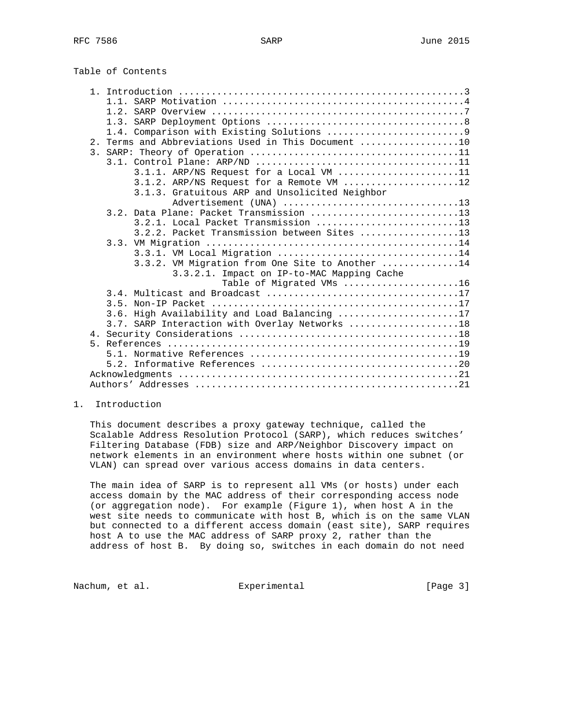| Table of Contents |  |
|-------------------|--|
|                   |  |

| 2. Terms and Abbreviations Used in This Document 10 |
|-----------------------------------------------------|
|                                                     |
|                                                     |
| $3.1.1.$ ARP/NS Request for a Local VM 11           |
| $3.1.2$ . ARP/NS Request for a Remote VM 12         |
| 3.1.3. Gratuitous ARP and Unsolicited Neighbor      |
| Advertisement (UNA) 13                              |
| 3.2. Data Plane: Packet Transmission 13             |
|                                                     |
| 3.2.2. Packet Transmission between Sites 13         |
|                                                     |
| 3.3.1. VM Local Migration 14                        |
| 3.3.2. VM Migration from One Site to Another 14     |
| 3.3.2.1. Impact on IP-to-MAC Mapping Cache          |
| Table of Migrated VMs 16                            |
|                                                     |
|                                                     |
| 3.6. High Availability and Load Balancing 17        |
| 3.7. SARP Interaction with Overlay Networks 18      |
|                                                     |
|                                                     |
|                                                     |
|                                                     |
|                                                     |
|                                                     |

#### 1. Introduction

 This document describes a proxy gateway technique, called the Scalable Address Resolution Protocol (SARP), which reduces switches' Filtering Database (FDB) size and ARP/Neighbor Discovery impact on network elements in an environment where hosts within one subnet (or VLAN) can spread over various access domains in data centers.

 The main idea of SARP is to represent all VMs (or hosts) under each access domain by the MAC address of their corresponding access node (or aggregation node). For example (Figure 1), when host A in the west site needs to communicate with host B, which is on the same VLAN but connected to a different access domain (east site), SARP requires host A to use the MAC address of SARP proxy 2, rather than the address of host B. By doing so, switches in each domain do not need

Nachum, et al. Experimental [Page 3]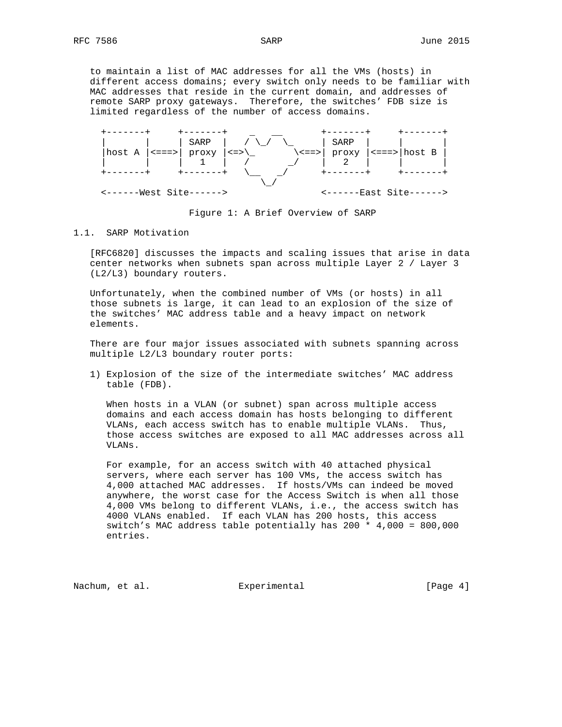to maintain a list of MAC addresses for all the VMs (hosts) in different access domains; every switch only needs to be familiar with MAC addresses that reside in the current domain, and addresses of remote SARP proxy gateways. Therefore, the switches' FDB size is limited regardless of the number of access domains.



Figure 1: A Brief Overview of SARP

#### 1.1. SARP Motivation

 [RFC6820] discusses the impacts and scaling issues that arise in data center networks when subnets span across multiple Layer 2 / Layer 3 (L2/L3) boundary routers.

 Unfortunately, when the combined number of VMs (or hosts) in all those subnets is large, it can lead to an explosion of the size of the switches' MAC address table and a heavy impact on network elements.

 There are four major issues associated with subnets spanning across multiple L2/L3 boundary router ports:

 1) Explosion of the size of the intermediate switches' MAC address table (FDB).

 When hosts in a VLAN (or subnet) span across multiple access domains and each access domain has hosts belonging to different VLANs, each access switch has to enable multiple VLANs. Thus, those access switches are exposed to all MAC addresses across all VLANs.

 For example, for an access switch with 40 attached physical servers, where each server has 100 VMs, the access switch has 4,000 attached MAC addresses. If hosts/VMs can indeed be moved anywhere, the worst case for the Access Switch is when all those 4,000 VMs belong to different VLANs, i.e., the access switch has 4000 VLANs enabled. If each VLAN has 200 hosts, this access switch's MAC address table potentially has 200 \* 4,000 = 800,000 entries.

Nachum, et al. Experimental [Page 4]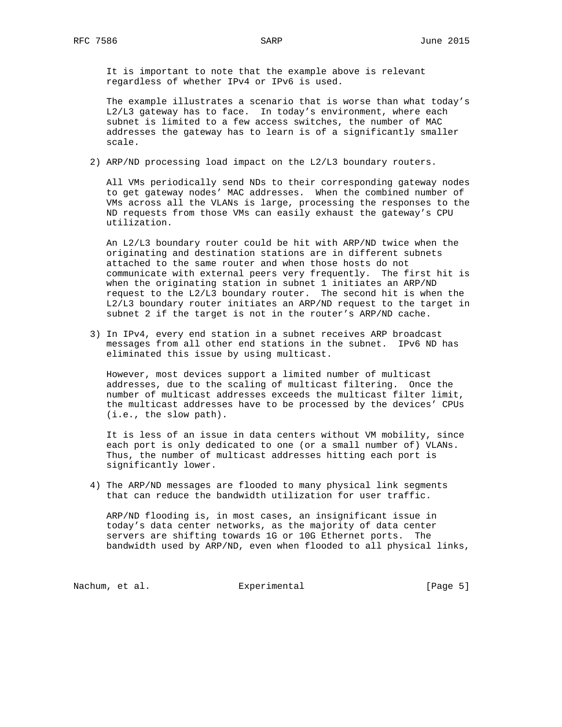It is important to note that the example above is relevant regardless of whether IPv4 or IPv6 is used.

 The example illustrates a scenario that is worse than what today's L2/L3 gateway has to face. In today's environment, where each subnet is limited to a few access switches, the number of MAC addresses the gateway has to learn is of a significantly smaller scale.

2) ARP/ND processing load impact on the L2/L3 boundary routers.

 All VMs periodically send NDs to their corresponding gateway nodes to get gateway nodes' MAC addresses. When the combined number of VMs across all the VLANs is large, processing the responses to the ND requests from those VMs can easily exhaust the gateway's CPU utilization.

 An L2/L3 boundary router could be hit with ARP/ND twice when the originating and destination stations are in different subnets attached to the same router and when those hosts do not communicate with external peers very frequently. The first hit is when the originating station in subnet 1 initiates an ARP/ND request to the L2/L3 boundary router. The second hit is when the L2/L3 boundary router initiates an ARP/ND request to the target in subnet 2 if the target is not in the router's ARP/ND cache.

 3) In IPv4, every end station in a subnet receives ARP broadcast messages from all other end stations in the subnet. IPv6 ND has eliminated this issue by using multicast.

 However, most devices support a limited number of multicast addresses, due to the scaling of multicast filtering. Once the number of multicast addresses exceeds the multicast filter limit, the multicast addresses have to be processed by the devices' CPUs (i.e., the slow path).

 It is less of an issue in data centers without VM mobility, since each port is only dedicated to one (or a small number of) VLANs. Thus, the number of multicast addresses hitting each port is significantly lower.

 4) The ARP/ND messages are flooded to many physical link segments that can reduce the bandwidth utilization for user traffic.

 ARP/ND flooding is, in most cases, an insignificant issue in today's data center networks, as the majority of data center servers are shifting towards 1G or 10G Ethernet ports. The bandwidth used by ARP/ND, even when flooded to all physical links,

Nachum, et al. experimental experimental [Page 5]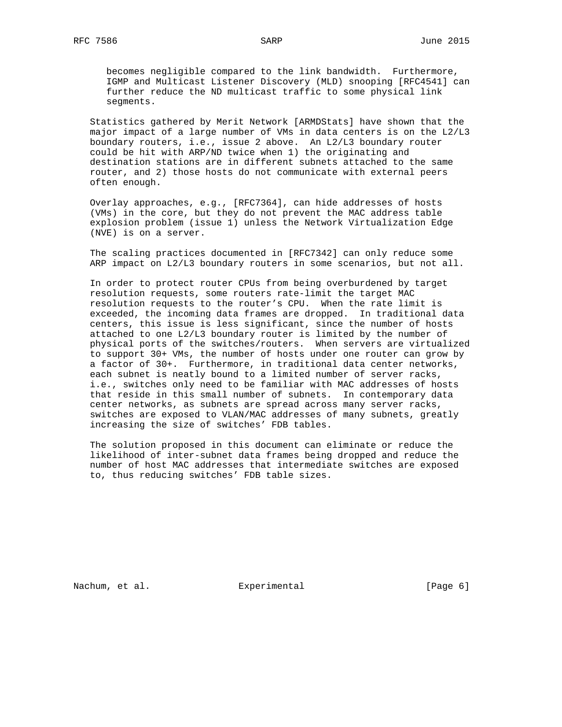becomes negligible compared to the link bandwidth. Furthermore, IGMP and Multicast Listener Discovery (MLD) snooping [RFC4541] can further reduce the ND multicast traffic to some physical link segments.

 Statistics gathered by Merit Network [ARMDStats] have shown that the major impact of a large number of VMs in data centers is on the L2/L3 boundary routers, i.e., issue 2 above. An L2/L3 boundary router could be hit with ARP/ND twice when 1) the originating and destination stations are in different subnets attached to the same router, and 2) those hosts do not communicate with external peers often enough.

 Overlay approaches, e.g., [RFC7364], can hide addresses of hosts (VMs) in the core, but they do not prevent the MAC address table explosion problem (issue 1) unless the Network Virtualization Edge (NVE) is on a server.

 The scaling practices documented in [RFC7342] can only reduce some ARP impact on L2/L3 boundary routers in some scenarios, but not all.

 In order to protect router CPUs from being overburdened by target resolution requests, some routers rate-limit the target MAC resolution requests to the router's CPU. When the rate limit is exceeded, the incoming data frames are dropped. In traditional data centers, this issue is less significant, since the number of hosts attached to one L2/L3 boundary router is limited by the number of physical ports of the switches/routers. When servers are virtualized to support 30+ VMs, the number of hosts under one router can grow by a factor of 30+. Furthermore, in traditional data center networks, each subnet is neatly bound to a limited number of server racks, i.e., switches only need to be familiar with MAC addresses of hosts that reside in this small number of subnets. In contemporary data center networks, as subnets are spread across many server racks, switches are exposed to VLAN/MAC addresses of many subnets, greatly increasing the size of switches' FDB tables.

 The solution proposed in this document can eliminate or reduce the likelihood of inter-subnet data frames being dropped and reduce the number of host MAC addresses that intermediate switches are exposed to, thus reducing switches' FDB table sizes.

Nachum, et al. Experimental [Page 6]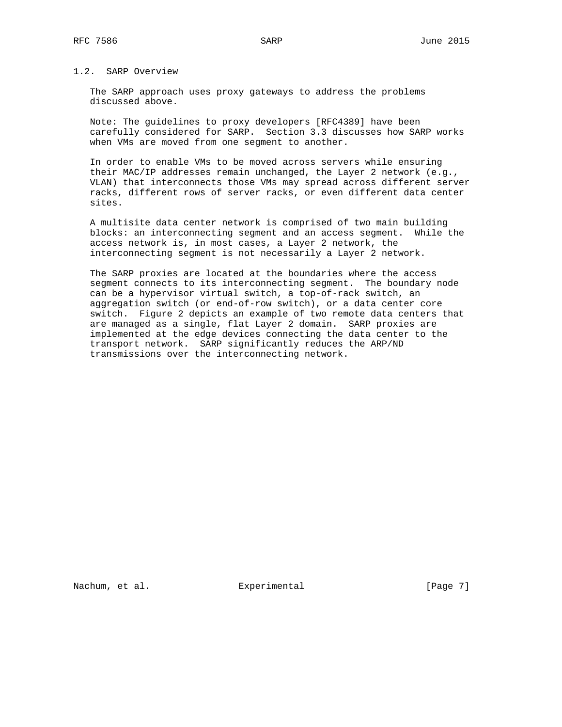# 1.2. SARP Overview

 The SARP approach uses proxy gateways to address the problems discussed above.

 Note: The guidelines to proxy developers [RFC4389] have been carefully considered for SARP. Section 3.3 discusses how SARP works when VMs are moved from one segment to another.

 In order to enable VMs to be moved across servers while ensuring their MAC/IP addresses remain unchanged, the Layer 2 network (e.g., VLAN) that interconnects those VMs may spread across different server racks, different rows of server racks, or even different data center sites.

 A multisite data center network is comprised of two main building blocks: an interconnecting segment and an access segment. While the access network is, in most cases, a Layer 2 network, the interconnecting segment is not necessarily a Layer 2 network.

 The SARP proxies are located at the boundaries where the access segment connects to its interconnecting segment. The boundary node can be a hypervisor virtual switch, a top-of-rack switch, an aggregation switch (or end-of-row switch), or a data center core switch. Figure 2 depicts an example of two remote data centers that are managed as a single, flat Layer 2 domain. SARP proxies are implemented at the edge devices connecting the data center to the transport network. SARP significantly reduces the ARP/ND transmissions over the interconnecting network.

Nachum, et al. Experimental [Page 7]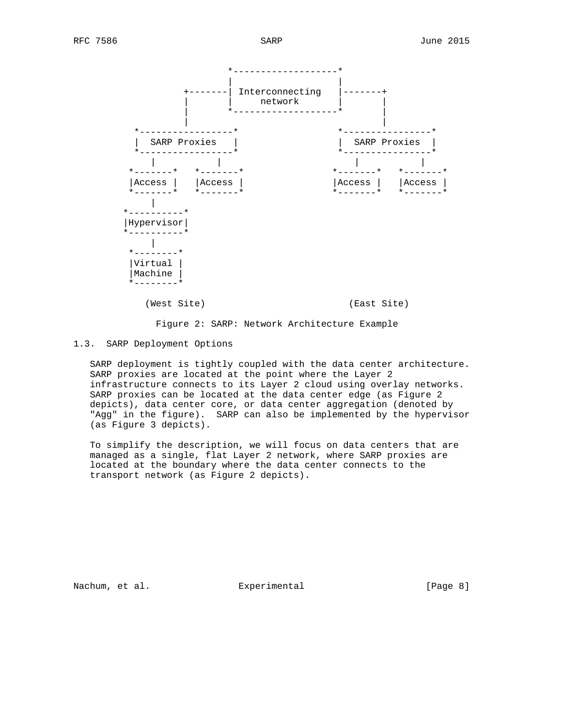

Figure 2: SARP: Network Architecture Example

## 1.3. SARP Deployment Options

 SARP deployment is tightly coupled with the data center architecture. SARP proxies are located at the point where the Layer 2 infrastructure connects to its Layer 2 cloud using overlay networks. SARP proxies can be located at the data center edge (as Figure 2 depicts), data center core, or data center aggregation (denoted by "Agg" in the figure). SARP can also be implemented by the hypervisor (as Figure 3 depicts).

 To simplify the description, we will focus on data centers that are managed as a single, flat Layer 2 network, where SARP proxies are located at the boundary where the data center connects to the transport network (as Figure 2 depicts).

Nachum, et al. Subsection Experimental Contract (Page 8)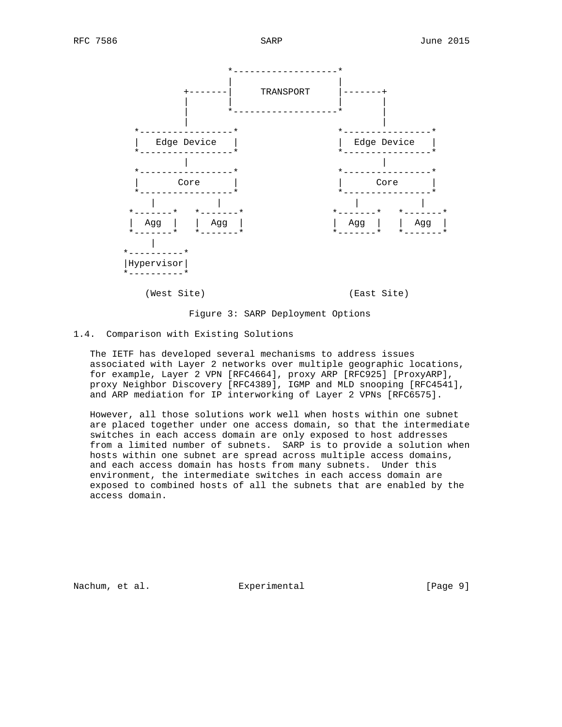

### Figure 3: SARP Deployment Options

#### 1.4. Comparison with Existing Solutions

 The IETF has developed several mechanisms to address issues associated with Layer 2 networks over multiple geographic locations, for example, Layer 2 VPN [RFC4664], proxy ARP [RFC925] [ProxyARP], proxy Neighbor Discovery [RFC4389], IGMP and MLD snooping [RFC4541], and ARP mediation for IP interworking of Layer 2 VPNs [RFC6575].

 However, all those solutions work well when hosts within one subnet are placed together under one access domain, so that the intermediate switches in each access domain are only exposed to host addresses from a limited number of subnets. SARP is to provide a solution when hosts within one subnet are spread across multiple access domains, and each access domain has hosts from many subnets. Under this environment, the intermediate switches in each access domain are exposed to combined hosts of all the subnets that are enabled by the access domain.

Nachum, et al. Subsection Experimental Contract (Page 9)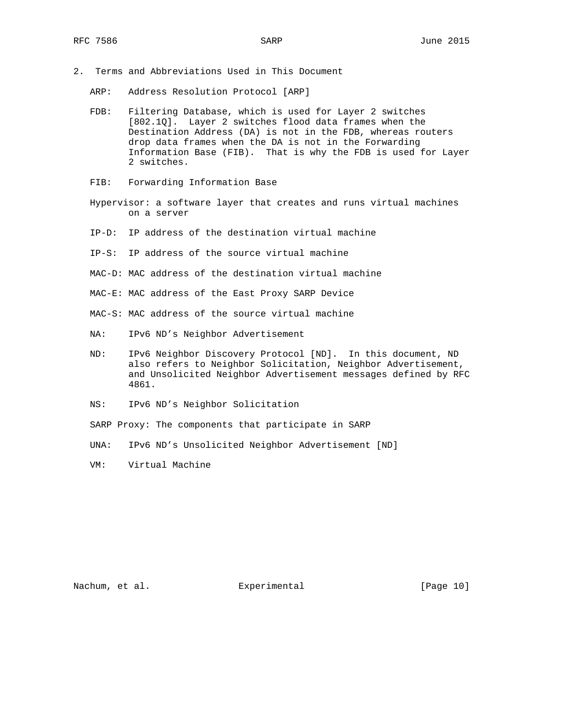- 2. Terms and Abbreviations Used in This Document
	- ARP: Address Resolution Protocol [ARP]
	- FDB: Filtering Database, which is used for Layer 2 switches [802.1Q]. Layer 2 switches flood data frames when the Destination Address (DA) is not in the FDB, whereas routers drop data frames when the DA is not in the Forwarding Information Base (FIB). That is why the FDB is used for Layer 2 switches.
	- FIB: Forwarding Information Base
	- Hypervisor: a software layer that creates and runs virtual machines on a server
	- IP-D: IP address of the destination virtual machine
	- IP-S: IP address of the source virtual machine
	- MAC-D: MAC address of the destination virtual machine
	- MAC-E: MAC address of the East Proxy SARP Device
	- MAC-S: MAC address of the source virtual machine
	- NA: IPv6 ND's Neighbor Advertisement
	- ND: IPv6 Neighbor Discovery Protocol [ND]. In this document, ND also refers to Neighbor Solicitation, Neighbor Advertisement, and Unsolicited Neighbor Advertisement messages defined by RFC 4861.
	- NS: IPv6 ND's Neighbor Solicitation
	- SARP Proxy: The components that participate in SARP
	- UNA: IPv6 ND's Unsolicited Neighbor Advertisement [ND]
	- VM: Virtual Machine

Nachum, et al. Experimental [Page 10]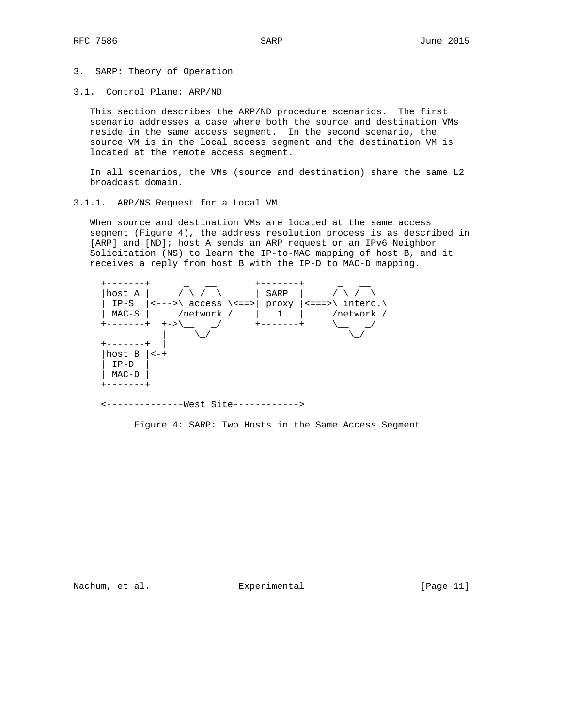- 3. SARP: Theory of Operation
- 3.1. Control Plane: ARP/ND

 This section describes the ARP/ND procedure scenarios. The first scenario addresses a case where both the source and destination VMs reside in the same access segment. In the second scenario, the source VM is in the local access segment and the destination VM is located at the remote access segment.

 In all scenarios, the VMs (source and destination) share the same L2 broadcast domain.

3.1.1. ARP/NS Request for a Local VM

 When source and destination VMs are located at the same access segment (Figure 4), the address resolution process is as described in [ARP] and [ND]; host A sends an ARP request or an IPv6 Neighbor Solicitation (NS) to learn the IP-to-MAC mapping of host B, and it receives a reply from host B with the IP-D to MAC-D mapping.

| host A    |            | SARP     |                         |
|-----------|------------|----------|-------------------------|
| $IP-S$    |            | proxy    | $  \leq == > \$ interc. |
| $MAC-S$   | /network / |          | /network /              |
| +-------+ | $+->$      | -------+ |                         |
|           |            |          |                         |
|           |            |          |                         |
| host B    | $<-+$      |          |                         |
| $IP-D$    |            |          |                         |
| $MAC-D$   |            |          |                         |
|           |            |          |                         |
|           |            |          |                         |

<--------------West Site------------>

Figure 4: SARP: Two Hosts in the Same Access Segment

Nachum, et al. experimental [Page 11]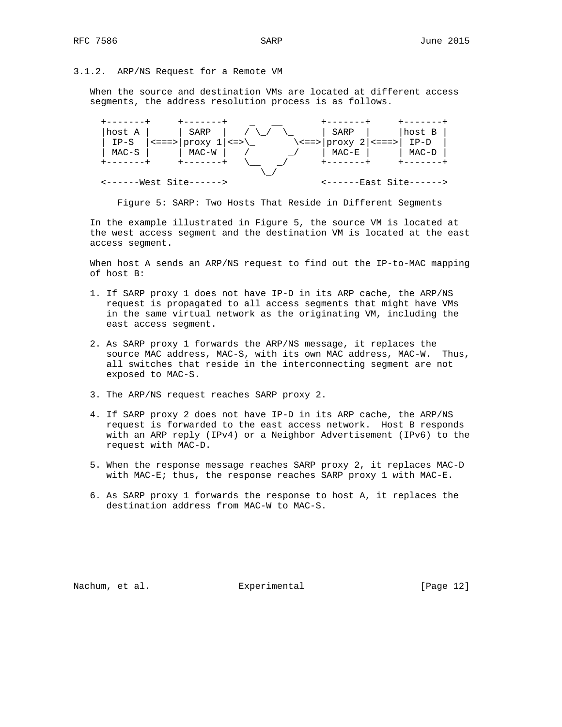## 3.1.2. ARP/NS Request for a Remote VM

 When the source and destination VMs are located at different access segments, the address resolution process is as follows.

|  | --------          |  |                                                         |  |  | -------                                         |  |           |  |
|--|-------------------|--|---------------------------------------------------------|--|--|-------------------------------------------------|--|-----------|--|
|  | host A            |  | SARP                                                    |  |  | SARP                                            |  | host B    |  |
|  | IP-S              |  | $\left  \right $ <===>   proxy $1 \left  \right $ <=> \ |  |  | $\langle \texttt{<=} $ proxy 2 $  \texttt{<=} $ |  | $IP-D$    |  |
|  | MAC-S             |  | MAC-W                                                   |  |  | MAC-E                                           |  | MAC-D     |  |
|  | $+ - - - - - - +$ |  | $+ - - - - - - +$                                       |  |  | +-------+                                       |  | +-------+ |  |
|  |                   |  |                                                         |  |  |                                                 |  |           |  |
|  |                   |  | $\leftarrow$ ------West Site------>                     |  |  | <------East Site------>                         |  |           |  |

Figure 5: SARP: Two Hosts That Reside in Different Segments

 In the example illustrated in Figure 5, the source VM is located at the west access segment and the destination VM is located at the east access segment.

 When host A sends an ARP/NS request to find out the IP-to-MAC mapping of host B:

- 1. If SARP proxy 1 does not have IP-D in its ARP cache, the ARP/NS request is propagated to all access segments that might have VMs in the same virtual network as the originating VM, including the east access segment.
- 2. As SARP proxy 1 forwards the ARP/NS message, it replaces the source MAC address, MAC-S, with its own MAC address, MAC-W. Thus, all switches that reside in the interconnecting segment are not exposed to MAC-S.
- 3. The ARP/NS request reaches SARP proxy 2.
- 4. If SARP proxy 2 does not have IP-D in its ARP cache, the ARP/NS request is forwarded to the east access network. Host B responds with an ARP reply (IPv4) or a Neighbor Advertisement (IPv6) to the request with MAC-D.
- 5. When the response message reaches SARP proxy 2, it replaces MAC-D with MAC-E; thus, the response reaches SARP proxy 1 with MAC-E.
- 6. As SARP proxy 1 forwards the response to host A, it replaces the destination address from MAC-W to MAC-S.

Nachum, et al. experimental [Page 12]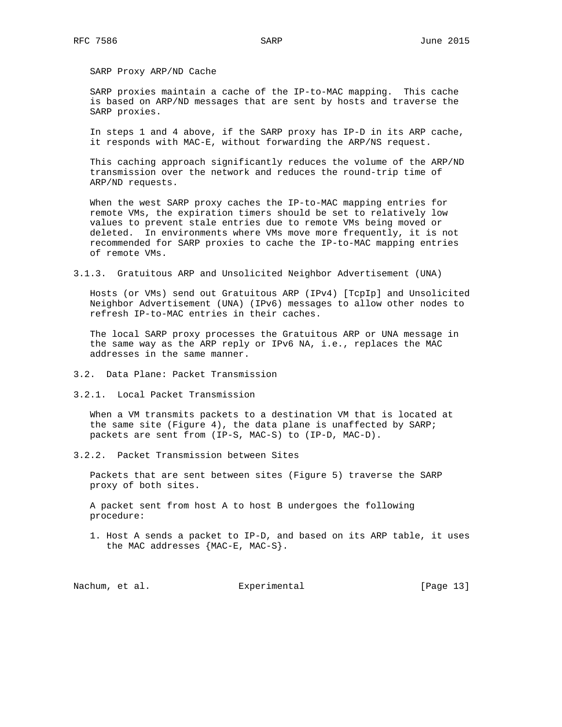SARP Proxy ARP/ND Cache

 SARP proxies maintain a cache of the IP-to-MAC mapping. This cache is based on ARP/ND messages that are sent by hosts and traverse the SARP proxies.

 In steps 1 and 4 above, if the SARP proxy has IP-D in its ARP cache, it responds with MAC-E, without forwarding the ARP/NS request.

 This caching approach significantly reduces the volume of the ARP/ND transmission over the network and reduces the round-trip time of ARP/ND requests.

 When the west SARP proxy caches the IP-to-MAC mapping entries for remote VMs, the expiration timers should be set to relatively low values to prevent stale entries due to remote VMs being moved or deleted. In environments where VMs move more frequently, it is not recommended for SARP proxies to cache the IP-to-MAC mapping entries of remote VMs.

3.1.3. Gratuitous ARP and Unsolicited Neighbor Advertisement (UNA)

 Hosts (or VMs) send out Gratuitous ARP (IPv4) [TcpIp] and Unsolicited Neighbor Advertisement (UNA) (IPv6) messages to allow other nodes to refresh IP-to-MAC entries in their caches.

 The local SARP proxy processes the Gratuitous ARP or UNA message in the same way as the ARP reply or IPv6 NA, i.e., replaces the MAC addresses in the same manner.

- 3.2. Data Plane: Packet Transmission
- 3.2.1. Local Packet Transmission

 When a VM transmits packets to a destination VM that is located at the same site (Figure 4), the data plane is unaffected by SARP; packets are sent from (IP-S, MAC-S) to (IP-D, MAC-D).

3.2.2. Packet Transmission between Sites

 Packets that are sent between sites (Figure 5) traverse the SARP proxy of both sites.

 A packet sent from host A to host B undergoes the following procedure:

 1. Host A sends a packet to IP-D, and based on its ARP table, it uses the MAC addresses {MAC-E, MAC-S}.

Nachum, et al. experimental [Page 13]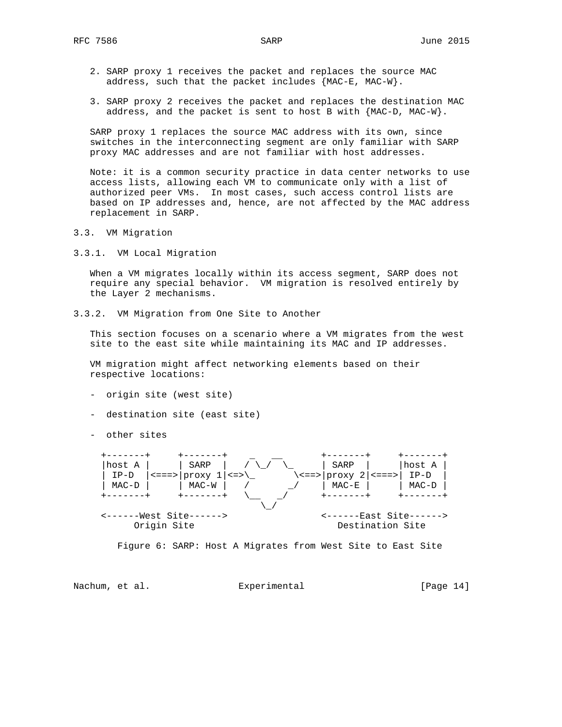- 2. SARP proxy 1 receives the packet and replaces the source MAC address, such that the packet includes  ${MAC-E}$ ,  $MAC-W$ .
- 3. SARP proxy 2 receives the packet and replaces the destination MAC address, and the packet is sent to host B with {MAC-D, MAC-W}.

 SARP proxy 1 replaces the source MAC address with its own, since switches in the interconnecting segment are only familiar with SARP proxy MAC addresses and are not familiar with host addresses.

 Note: it is a common security practice in data center networks to use access lists, allowing each VM to communicate only with a list of authorized peer VMs. In most cases, such access control lists are based on IP addresses and, hence, are not affected by the MAC address replacement in SARP.

- 3.3. VM Migration
- 3.3.1. VM Local Migration

 When a VM migrates locally within its access segment, SARP does not require any special behavior. VM migration is resolved entirely by the Layer 2 mechanisms.

3.3.2. VM Migration from One Site to Another

 This section focuses on a scenario where a VM migrates from the west site to the east site while maintaining its MAC and IP addresses.

 VM migration might affect networking elements based on their respective locations:

- origin site (west site)
- destination site (east site)
- other sites





Nachum, et al. Experimental [Page 14]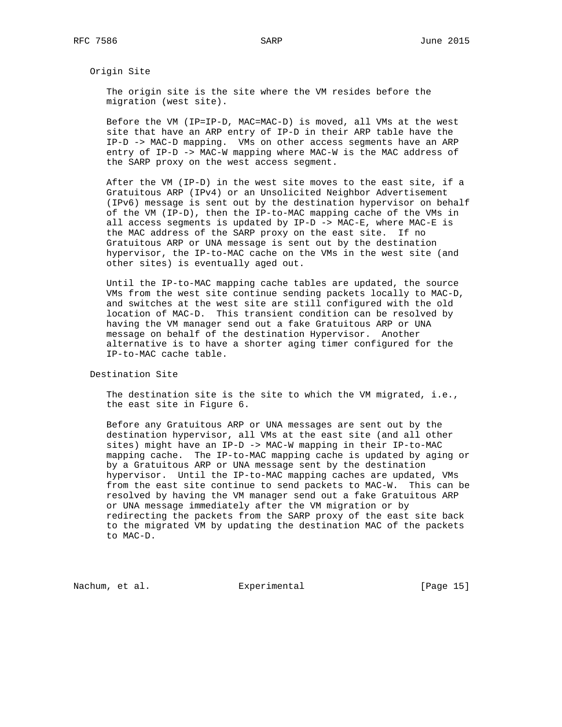Origin Site

 The origin site is the site where the VM resides before the migration (west site).

 Before the VM (IP=IP-D, MAC=MAC-D) is moved, all VMs at the west site that have an ARP entry of IP-D in their ARP table have the IP-D -> MAC-D mapping. VMs on other access segments have an ARP entry of IP-D -> MAC-W mapping where MAC-W is the MAC address of the SARP proxy on the west access segment.

 After the VM (IP-D) in the west site moves to the east site, if a Gratuitous ARP (IPv4) or an Unsolicited Neighbor Advertisement (IPv6) message is sent out by the destination hypervisor on behalf of the VM (IP-D), then the IP-to-MAC mapping cache of the VMs in all access segments is updated by IP-D -> MAC-E, where MAC-E is the MAC address of the SARP proxy on the east site. If no Gratuitous ARP or UNA message is sent out by the destination hypervisor, the IP-to-MAC cache on the VMs in the west site (and other sites) is eventually aged out.

 Until the IP-to-MAC mapping cache tables are updated, the source VMs from the west site continue sending packets locally to MAC-D, and switches at the west site are still configured with the old location of MAC-D. This transient condition can be resolved by having the VM manager send out a fake Gratuitous ARP or UNA message on behalf of the destination Hypervisor. Another alternative is to have a shorter aging timer configured for the IP-to-MAC cache table.

Destination Site

 The destination site is the site to which the VM migrated, i.e., the east site in Figure 6.

 Before any Gratuitous ARP or UNA messages are sent out by the destination hypervisor, all VMs at the east site (and all other sites) might have an IP-D -> MAC-W mapping in their IP-to-MAC mapping cache. The IP-to-MAC mapping cache is updated by aging or by a Gratuitous ARP or UNA message sent by the destination hypervisor. Until the IP-to-MAC mapping caches are updated, VMs from the east site continue to send packets to MAC-W. This can be resolved by having the VM manager send out a fake Gratuitous ARP or UNA message immediately after the VM migration or by redirecting the packets from the SARP proxy of the east site back to the migrated VM by updating the destination MAC of the packets to MAC-D.

Nachum, et al. Subsection Experimental Experimental [Page 15]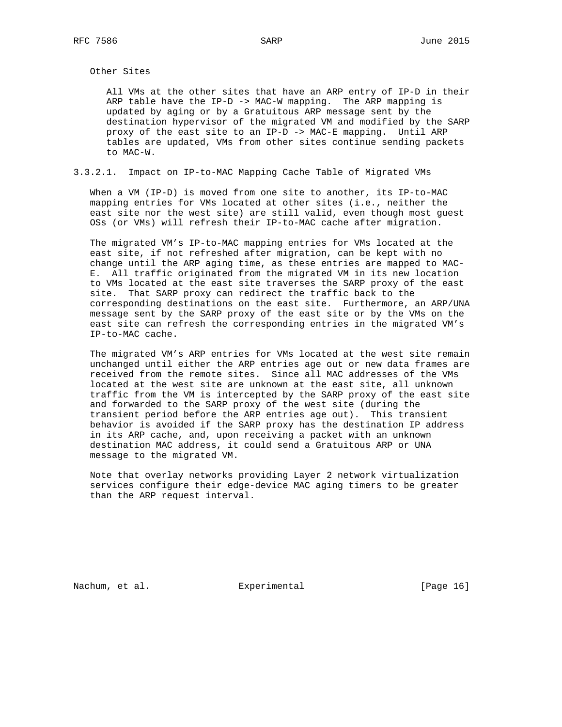Other Sites

 All VMs at the other sites that have an ARP entry of IP-D in their ARP table have the IP-D -> MAC-W mapping. The ARP mapping is updated by aging or by a Gratuitous ARP message sent by the destination hypervisor of the migrated VM and modified by the SARP proxy of the east site to an IP-D -> MAC-E mapping. Until ARP tables are updated, VMs from other sites continue sending packets to MAC-W.

3.3.2.1. Impact on IP-to-MAC Mapping Cache Table of Migrated VMs

 When a VM (IP-D) is moved from one site to another, its IP-to-MAC mapping entries for VMs located at other sites (i.e., neither the east site nor the west site) are still valid, even though most guest OSs (or VMs) will refresh their IP-to-MAC cache after migration.

 The migrated VM's IP-to-MAC mapping entries for VMs located at the east site, if not refreshed after migration, can be kept with no change until the ARP aging time, as these entries are mapped to MAC- E. All traffic originated from the migrated VM in its new location to VMs located at the east site traverses the SARP proxy of the east site. That SARP proxy can redirect the traffic back to the corresponding destinations on the east site. Furthermore, an ARP/UNA message sent by the SARP proxy of the east site or by the VMs on the east site can refresh the corresponding entries in the migrated VM's IP-to-MAC cache.

 The migrated VM's ARP entries for VMs located at the west site remain unchanged until either the ARP entries age out or new data frames are received from the remote sites. Since all MAC addresses of the VMs located at the west site are unknown at the east site, all unknown traffic from the VM is intercepted by the SARP proxy of the east site and forwarded to the SARP proxy of the west site (during the transient period before the ARP entries age out). This transient behavior is avoided if the SARP proxy has the destination IP address in its ARP cache, and, upon receiving a packet with an unknown destination MAC address, it could send a Gratuitous ARP or UNA message to the migrated VM.

 Note that overlay networks providing Layer 2 network virtualization services configure their edge-device MAC aging timers to be greater than the ARP request interval.

Nachum, et al. Subsection Experimental Contract (Page 16)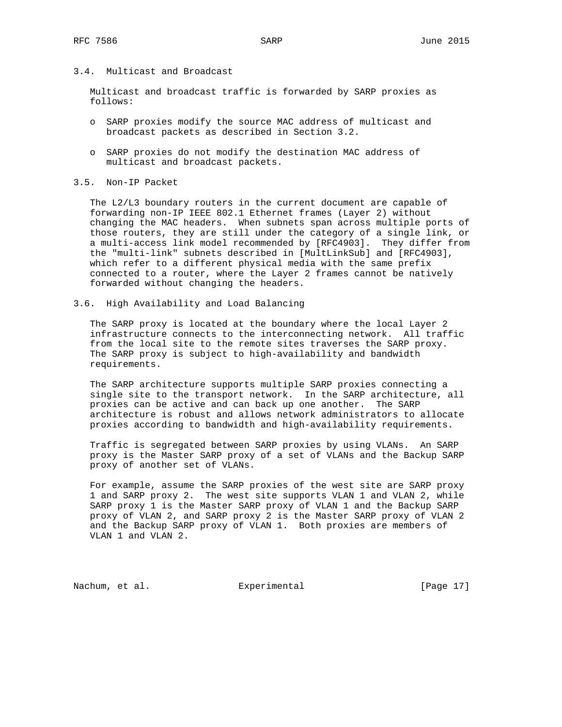# 3.4. Multicast and Broadcast

 Multicast and broadcast traffic is forwarded by SARP proxies as follows:

- o SARP proxies modify the source MAC address of multicast and broadcast packets as described in Section 3.2.
- o SARP proxies do not modify the destination MAC address of multicast and broadcast packets.

# 3.5. Non-IP Packet

 The L2/L3 boundary routers in the current document are capable of forwarding non-IP IEEE 802.1 Ethernet frames (Layer 2) without changing the MAC headers. When subnets span across multiple ports of those routers, they are still under the category of a single link, or a multi-access link model recommended by [RFC4903]. They differ from the "multi-link" subnets described in [MultLinkSub] and [RFC4903], which refer to a different physical media with the same prefix connected to a router, where the Layer 2 frames cannot be natively forwarded without changing the headers.

3.6. High Availability and Load Balancing

 The SARP proxy is located at the boundary where the local Layer 2 infrastructure connects to the interconnecting network. All traffic from the local site to the remote sites traverses the SARP proxy. The SARP proxy is subject to high-availability and bandwidth requirements.

 The SARP architecture supports multiple SARP proxies connecting a single site to the transport network. In the SARP architecture, all proxies can be active and can back up one another. The SARP architecture is robust and allows network administrators to allocate proxies according to bandwidth and high-availability requirements.

 Traffic is segregated between SARP proxies by using VLANs. An SARP proxy is the Master SARP proxy of a set of VLANs and the Backup SARP proxy of another set of VLANs.

 For example, assume the SARP proxies of the west site are SARP proxy 1 and SARP proxy 2. The west site supports VLAN 1 and VLAN 2, while SARP proxy 1 is the Master SARP proxy of VLAN 1 and the Backup SARP proxy of VLAN 2, and SARP proxy 2 is the Master SARP proxy of VLAN 2 and the Backup SARP proxy of VLAN 1. Both proxies are members of VLAN 1 and VLAN 2.

Nachum, et al. **Experimental** [Page 17]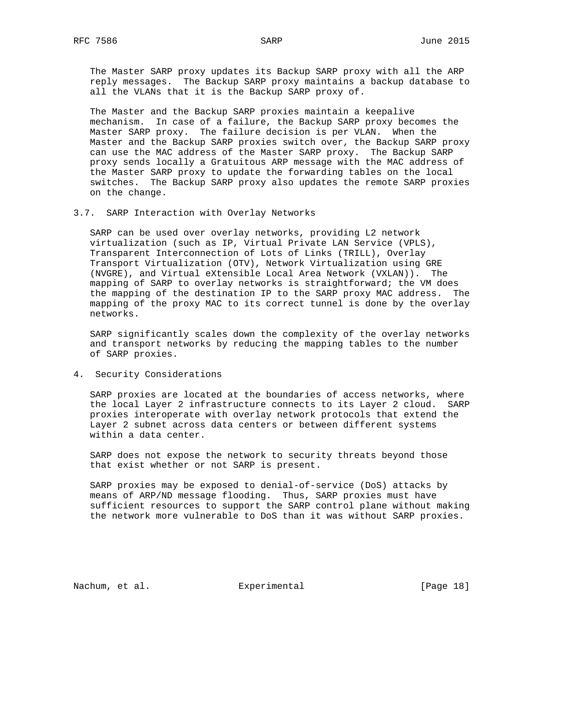The Master SARP proxy updates its Backup SARP proxy with all the ARP reply messages. The Backup SARP proxy maintains a backup database to all the VLANs that it is the Backup SARP proxy of.

 The Master and the Backup SARP proxies maintain a keepalive mechanism. In case of a failure, the Backup SARP proxy becomes the Master SARP proxy. The failure decision is per VLAN. When the Master and the Backup SARP proxies switch over, the Backup SARP proxy can use the MAC address of the Master SARP proxy. The Backup SARP proxy sends locally a Gratuitous ARP message with the MAC address of the Master SARP proxy to update the forwarding tables on the local switches. The Backup SARP proxy also updates the remote SARP proxies on the change.

3.7. SARP Interaction with Overlay Networks

 SARP can be used over overlay networks, providing L2 network virtualization (such as IP, Virtual Private LAN Service (VPLS), Transparent Interconnection of Lots of Links (TRILL), Overlay Transport Virtualization (OTV), Network Virtualization using GRE (NVGRE), and Virtual eXtensible Local Area Network (VXLAN)). The mapping of SARP to overlay networks is straightforward; the VM does the mapping of the destination IP to the SARP proxy MAC address. The mapping of the proxy MAC to its correct tunnel is done by the overlay networks.

 SARP significantly scales down the complexity of the overlay networks and transport networks by reducing the mapping tables to the number of SARP proxies.

4. Security Considerations

 SARP proxies are located at the boundaries of access networks, where the local Layer 2 infrastructure connects to its Layer 2 cloud. SARP proxies interoperate with overlay network protocols that extend the Layer 2 subnet across data centers or between different systems within a data center.

 SARP does not expose the network to security threats beyond those that exist whether or not SARP is present.

 SARP proxies may be exposed to denial-of-service (DoS) attacks by means of ARP/ND message flooding. Thus, SARP proxies must have sufficient resources to support the SARP control plane without making the network more vulnerable to DoS than it was without SARP proxies.

Nachum, et al. Subsection Experimental Contract (Page 18)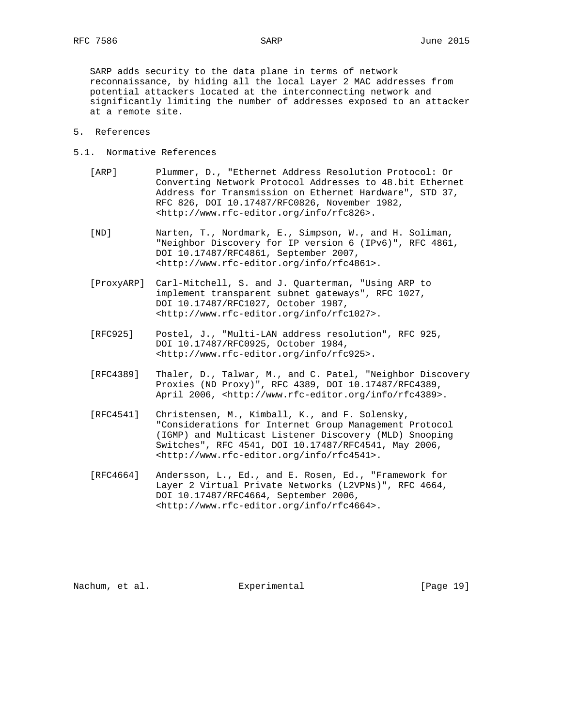SARP adds security to the data plane in terms of network reconnaissance, by hiding all the local Layer 2 MAC addresses from potential attackers located at the interconnecting network and significantly limiting the number of addresses exposed to an attacker at a remote site.

- 5. References
- 5.1. Normative References
	- [ARP] Plummer, D., "Ethernet Address Resolution Protocol: Or Converting Network Protocol Addresses to 48.bit Ethernet Address for Transmission on Ethernet Hardware", STD 37, RFC 826, DOI 10.17487/RFC0826, November 1982, <http://www.rfc-editor.org/info/rfc826>.
	- [ND] Narten, T., Nordmark, E., Simpson, W., and H. Soliman, "Neighbor Discovery for IP version 6 (IPv6)", RFC 4861, DOI 10.17487/RFC4861, September 2007, <http://www.rfc-editor.org/info/rfc4861>.
	- [ProxyARP] Carl-Mitchell, S. and J. Quarterman, "Using ARP to implement transparent subnet gateways", RFC 1027, DOI 10.17487/RFC1027, October 1987, <http://www.rfc-editor.org/info/rfc1027>.
	- [RFC925] Postel, J., "Multi-LAN address resolution", RFC 925, DOI 10.17487/RFC0925, October 1984, <http://www.rfc-editor.org/info/rfc925>.
	- [RFC4389] Thaler, D., Talwar, M., and C. Patel, "Neighbor Discovery Proxies (ND Proxy)", RFC 4389, DOI 10.17487/RFC4389, April 2006, <http://www.rfc-editor.org/info/rfc4389>.
	- [RFC4541] Christensen, M., Kimball, K., and F. Solensky, "Considerations for Internet Group Management Protocol (IGMP) and Multicast Listener Discovery (MLD) Snooping Switches", RFC 4541, DOI 10.17487/RFC4541, May 2006, <http://www.rfc-editor.org/info/rfc4541>.
	- [RFC4664] Andersson, L., Ed., and E. Rosen, Ed., "Framework for Layer 2 Virtual Private Networks (L2VPNs)", RFC 4664, DOI 10.17487/RFC4664, September 2006, <http://www.rfc-editor.org/info/rfc4664>.

Nachum, et al. Subsection Experimental Experimental [Page 19]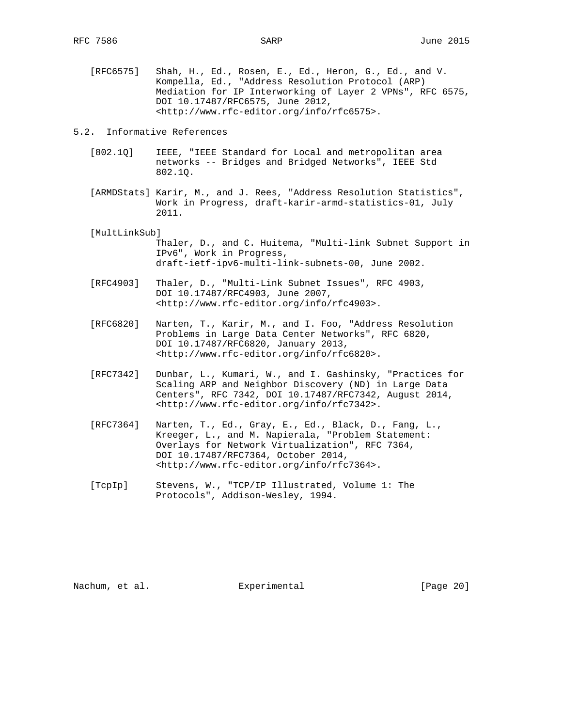[RFC6575] Shah, H., Ed., Rosen, E., Ed., Heron, G., Ed., and V. Kompella, Ed., "Address Resolution Protocol (ARP) Mediation for IP Interworking of Layer 2 VPNs", RFC 6575, DOI 10.17487/RFC6575, June 2012, <http://www.rfc-editor.org/info/rfc6575>.

5.2. Informative References

- [802.1Q] IEEE, "IEEE Standard for Local and metropolitan area networks -- Bridges and Bridged Networks", IEEE Std 802.1Q.
- [ARMDStats] Karir, M., and J. Rees, "Address Resolution Statistics", Work in Progress, draft-karir-armd-statistics-01, July 2011.
- [MultLinkSub]
	- Thaler, D., and C. Huitema, "Multi-link Subnet Support in IPv6", Work in Progress, draft-ietf-ipv6-multi-link-subnets-00, June 2002.
- [RFC4903] Thaler, D., "Multi-Link Subnet Issues", RFC 4903, DOI 10.17487/RFC4903, June 2007, <http://www.rfc-editor.org/info/rfc4903>.
- [RFC6820] Narten, T., Karir, M., and I. Foo, "Address Resolution Problems in Large Data Center Networks", RFC 6820, DOI 10.17487/RFC6820, January 2013, <http://www.rfc-editor.org/info/rfc6820>.
- [RFC7342] Dunbar, L., Kumari, W., and I. Gashinsky, "Practices for Scaling ARP and Neighbor Discovery (ND) in Large Data Centers", RFC 7342, DOI 10.17487/RFC7342, August 2014, <http://www.rfc-editor.org/info/rfc7342>.
- [RFC7364] Narten, T., Ed., Gray, E., Ed., Black, D., Fang, L., Kreeger, L., and M. Napierala, "Problem Statement: Overlays for Network Virtualization", RFC 7364, DOI 10.17487/RFC7364, October 2014, <http://www.rfc-editor.org/info/rfc7364>.
- [TcpIp] Stevens, W., "TCP/IP Illustrated, Volume 1: The Protocols", Addison-Wesley, 1994.

Nachum, et al. **Experimental** [Page 20]